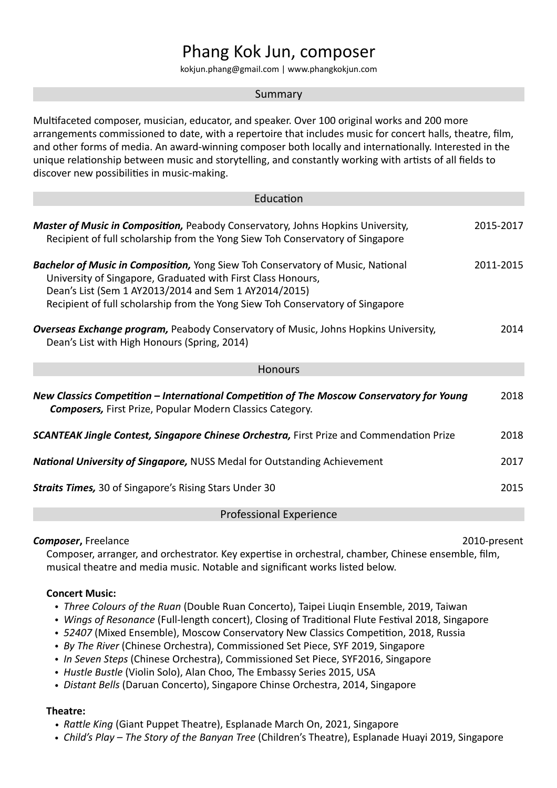# Phang Kok Jun, composer

kokjun.phang@gmail.com | www.phangkokjun.com

#### Summary

Multifaceted composer, musician, educator, and speaker. Over 100 original works and 200 more arrangements commissioned to date, with a repertoire that includes music for concert halls, theatre, film, and other forms of media. An award-winning composer both locally and internationally. Interested in the unique relationship between music and storytelling, and constantly working with artists of all fields to discover new possibilities in music-making.

| Education                                                                                                                                                                                                                                                                                         |           |
|---------------------------------------------------------------------------------------------------------------------------------------------------------------------------------------------------------------------------------------------------------------------------------------------------|-----------|
| <b>Master of Music in Composition, Peabody Conservatory, Johns Hopkins University,</b><br>Recipient of full scholarship from the Yong Siew Toh Conservatory of Singapore                                                                                                                          | 2015-2017 |
| <b>Bachelor of Music in Composition, Yong Siew Toh Conservatory of Music, National</b><br>University of Singapore, Graduated with First Class Honours,<br>Dean's List (Sem 1 AY2013/2014 and Sem 1 AY2014/2015)<br>Recipient of full scholarship from the Yong Siew Toh Conservatory of Singapore | 2011-2015 |
| <b>Overseas Exchange program, Peabody Conservatory of Music, Johns Hopkins University,</b><br>Dean's List with High Honours (Spring, 2014)                                                                                                                                                        | 2014      |
| <b>Honours</b>                                                                                                                                                                                                                                                                                    |           |
| New Classics Competition – International Competition of The Moscow Conservatory for Young<br><b>Composers, First Prize, Popular Modern Classics Category.</b>                                                                                                                                     | 2018      |
| <b>SCANTEAK Jingle Contest, Singapore Chinese Orchestra, First Prize and Commendation Prize</b>                                                                                                                                                                                                   | 2018      |
| <b>National University of Singapore, NUSS Medal for Outstanding Achievement</b>                                                                                                                                                                                                                   | 2017      |
| <b>Straits Times, 30 of Singapore's Rising Stars Under 30</b>                                                                                                                                                                                                                                     | 2015      |
| <b>Professional Experience</b>                                                                                                                                                                                                                                                                    |           |

#### **Composer**, Freelance 2010-present

Composer, arranger, and orchestrator. Key expertise in orchestral, chamber, Chinese ensemble, film, musical theatre and media music. Notable and significant works listed below.

#### **Concert Music:**

- *Three Colours of the Ruan* (Double Ruan Concerto), Taipei Liugin Ensemble, 2019, Taiwan
- *Wings of Resonance* (Full-length concert), Closing of Traditional Flute Festival 2018, Singapore
- *52407* (Mixed Ensemble), Moscow Conservatory New Classics Competition, 2018, Russia
- *By The River* (Chinese Orchestra), Commissioned Set Piece, SYF 2019, Singapore
- *In Seven Steps* (Chinese Orchestra), Commissioned Set Piece, SYF2016, Singapore
- Hustle Bustle (Violin Solo), Alan Choo, The Embassy Series 2015, USA
- *Distant Bells* (Daruan Concerto), Singapore Chinse Orchestra, 2014, Singapore

#### **Theatre:**

- *Rattle King* (Giant Puppet Theatre), Esplanade March On, 2021, Singapore
- *Child's Play The Story of the Banyan Tree* (Children's Theatre), Esplanade Huayi 2019, Singapore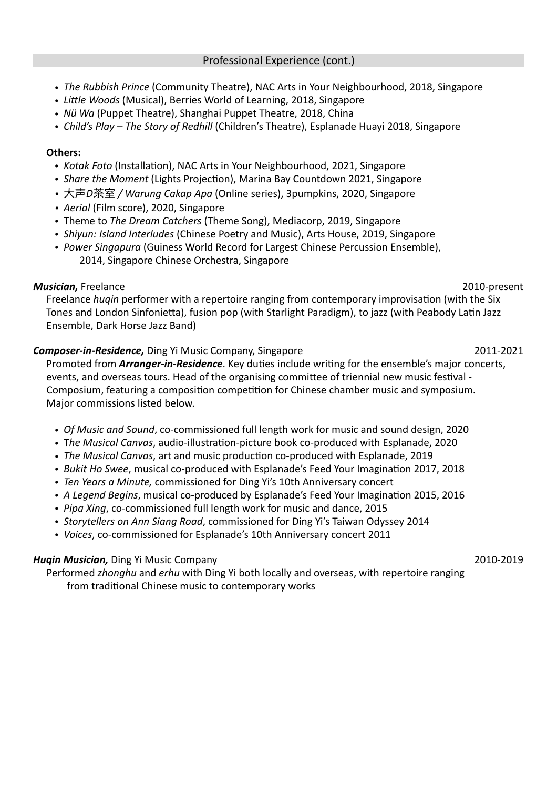- *The Rubbish Prince* (Community Theatre), NAC Arts in Your Neighbourhood, 2018, Singapore
- Little Woods (Musical), Berries World of Learning, 2018, Singapore
- *Nü Wa* (Puppet Theatre), Shanghai Puppet Theatre, 2018, China
- *Child's Play The Story of Redhill* (Children's Theatre), Esplanade Huayi 2018, Singapore

#### **Others:**

- *Kotak Foto* (Installation), NAC Arts in Your Neighbourhood, 2021, Singapore
- *Share the Moment* (Lights Projection), Marina Bay Countdown 2021, Singapore
- 大声D茶室 / *Warung Cakap Apa* (Online series), 3pumpkins, 2020, Singapore
- *Aerial* (Film score), 2020, Singapore
- Theme to *The Dream Catchers* (Theme Song), Mediacorp, 2019, Singapore
- *Shiyun: Island Interludes* (Chinese Poetry and Music), Arts House, 2019, Singapore
- *Power Singapura* (Guiness World Record for Largest Chinese Percussion Ensemble), 2014, Singapore Chinese Orchestra, Singapore

## *Musician,* Freelance 2010-present

Freelance *huqin* performer with a repertoire ranging from contemporary improvisation (with the Six Tones and London Sinfonietta), fusion pop (with Starlight Paradigm), to jazz (with Peabody Latin Jazz Ensemble, Dark Horse Jazz Band)

## **Composer-in-Residence,** Ding Yi Music Company, Singapore **2011-2021** 2011-2021

Promoted from *Arranger-in-Residence*. Key duties include writing for the ensemble's major concerts, events, and overseas tours. Head of the organising committee of triennial new music festival -Composium, featuring a composition competition for Chinese chamber music and symposium. Major commissions listed below.

- *Of Music and Sound,* co-commissioned full length work for music and sound design, 2020
- The Musical Canvas, audio-illustration-picture book co-produced with Esplanade, 2020
- *The Musical Canvas*, art and music production co-produced with Esplanade, 2019
- *Bukit Ho Swee*, musical co-produced with Esplanade's Feed Your Imagination 2017, 2018
- *Ten Years a Minute,* commissioned for Ding Yi's 10th Anniversary concert
- *A Legend Begins*, musical co-produced by Esplanade's Feed Your Imagination 2015, 2016
- *Pipa Xing*, co-commissioned full length work for music and dance, 2015
- *Storytellers on Ann Siang Road,* commissioned for Ding Yi's Taiwan Odyssey 2014
- *Voices*, co-commissioned for Esplanade's 10th Anniversary concert 2011

## *Huqin Musician,* Ding Yi Music Company **2010-2019** 2010-2019

Performed *zhonghu* and *erhu* with Ding Yi both locally and overseas, with repertoire ranging from traditional Chinese music to contemporary works